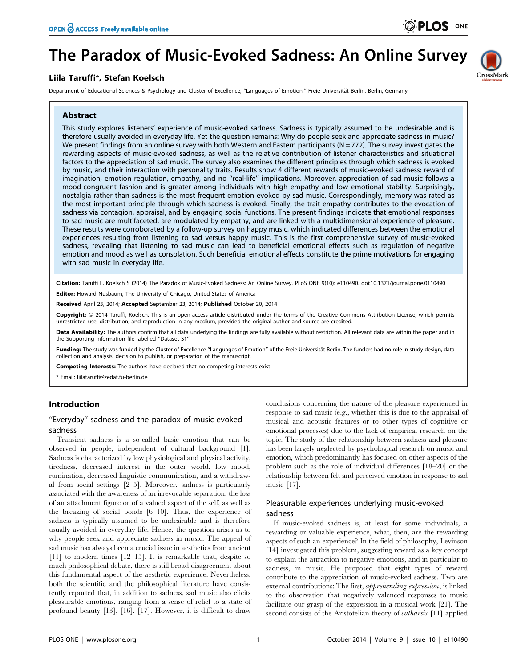CrossMark

# The Paradox of Music-Evoked Sadness: An Online Survey

# Liila Taruffi\*, Stefan Koelsch

Department of Educational Sciences & Psychology and Cluster of Excellence, "Languages of Emotion," Freie Universität Berlin, Berlin, Germany

# Abstract

This study explores listeners' experience of music-evoked sadness. Sadness is typically assumed to be undesirable and is therefore usually avoided in everyday life. Yet the question remains: Why do people seek and appreciate sadness in music? We present findings from an online survey with both Western and Eastern participants ( $N = 772$ ). The survey investigates the rewarding aspects of music-evoked sadness, as well as the relative contribution of listener characteristics and situational factors to the appreciation of sad music. The survey also examines the different principles through which sadness is evoked by music, and their interaction with personality traits. Results show 4 different rewards of music-evoked sadness: reward of imagination, emotion regulation, empathy, and no ''real-life'' implications. Moreover, appreciation of sad music follows a mood-congruent fashion and is greater among individuals with high empathy and low emotional stability. Surprisingly, nostalgia rather than sadness is the most frequent emotion evoked by sad music. Correspondingly, memory was rated as the most important principle through which sadness is evoked. Finally, the trait empathy contributes to the evocation of sadness via contagion, appraisal, and by engaging social functions. The present findings indicate that emotional responses to sad music are multifaceted, are modulated by empathy, and are linked with a multidimensional experience of pleasure. These results were corroborated by a follow-up survey on happy music, which indicated differences between the emotional experiences resulting from listening to sad versus happy music. This is the first comprehensive survey of music-evoked sadness, revealing that listening to sad music can lead to beneficial emotional effects such as regulation of negative emotion and mood as well as consolation. Such beneficial emotional effects constitute the prime motivations for engaging with sad music in everyday life.

Citation: Taruffi L, Koelsch S (2014) The Paradox of Music-Evoked Sadness: An Online Survey. PLoS ONE 9(10): e110490. doi:10.1371/journal.pone.0110490 Editor: Howard Nusbaum, The University of Chicago, United States of America

Received April 23, 2014; Accepted September 23, 2014; Published October 20, 2014

Copyright: © 2014 Taruffi, Koelsch. This is an open-access article distributed under the terms of the [Creative Commons Attribution License](http://creativecommons.org/licenses/by/4.0/), which permits unrestricted use, distribution, and reproduction in any medium, provided the original author and source are credited.

Data Availability: The authors confirm that all data underlying the findings are fully available without restriction. All relevant data are within the paper and in the Supporting Information file labelled ''Dataset S1''.

Funding: The study was funded by the Cluster of Excellence "Languages of Emotion" of the Freie Universität Berlin. The funders had no role in study design, data collection and analysis, decision to publish, or preparation of the manuscript.

Competing Interests: The authors have declared that no competing interests exist.

\* Email: liilataruffi@zedat.fu-berlin.de

## Introduction

# ''Everyday'' sadness and the paradox of music-evoked sadness

Transient sadness is a so-called basic emotion that can be observed in people, independent of cultural background [1]. Sadness is characterized by low physiological and physical activity, tiredness, decreased interest in the outer world, low mood, rumination, decreased linguistic communication, and a withdrawal from social settings [2–5]. Moreover, sadness is particularly associated with the awareness of an irrevocable separation, the loss of an attachment figure or of a valued aspect of the self, as well as the breaking of social bonds [6–10]. Thus, the experience of sadness is typically assumed to be undesirable and is therefore usually avoided in everyday life. Hence, the question arises as to why people seek and appreciate sadness in music. The appeal of sad music has always been a crucial issue in aesthetics from ancient [11] to modern times [12–15]. It is remarkable that, despite so much philosophical debate, there is still broad disagreement about this fundamental aspect of the aesthetic experience. Nevertheless, both the scientific and the philosophical literature have consistently reported that, in addition to sadness, sad music also elicits pleasurable emotions, ranging from a sense of relief to a state of profound beauty [13], [16], [17]. However, it is difficult to draw

conclusions concerning the nature of the pleasure experienced in response to sad music (e.g., whether this is due to the appraisal of musical and acoustic features or to other types of cognitive or emotional processes) due to the lack of empirical research on the topic. The study of the relationship between sadness and pleasure has been largely neglected by psychological research on music and emotion, which predominantly has focused on other aspects of the problem such as the role of individual differences [18–20] or the relationship between felt and perceived emotion in response to sad music [17].

# Pleasurable experiences underlying music-evoked sadness

If music-evoked sadness is, at least for some individuals, a rewarding or valuable experience, what, then, are the rewarding aspects of such an experience? In the field of philosophy, Levinson [14] investigated this problem, suggesting reward as a key concept to explain the attraction to negative emotions, and in particular to sadness, in music. He proposed that eight types of reward contribute to the appreciation of music-evoked sadness. Two are external contributions: The first, apprehending expression, is linked to the observation that negatively valenced responses to music facilitate our grasp of the expression in a musical work [21]. The second consists of the Aristotelian theory of catharsis [11] applied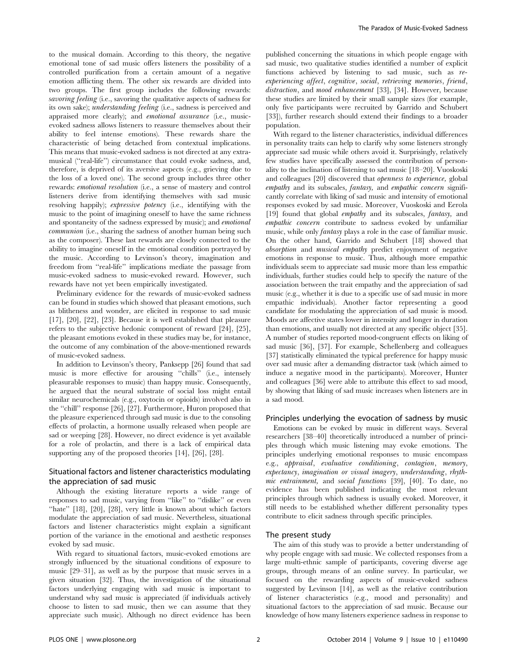to the musical domain. According to this theory, the negative emotional tone of sad music offers listeners the possibility of a controlled purification from a certain amount of a negative emotion afflicting them. The other six rewards are divided into two groups. The first group includes the following rewards: savoring feeling (i.e., savoring the qualitative aspects of sadness for its own sake); understanding feeling (i.e., sadness is perceived and appraised more clearly); and emotional assurance (i.e., musicevoked sadness allows listeners to reassure themselves about their ability to feel intense emotions). These rewards share the characteristic of being detached from contextual implications. This means that music-evoked sadness is not directed at any extramusical (''real-life'') circumstance that could evoke sadness, and, therefore, is deprived of its aversive aspects (e.g., grieving due to the loss of a loved one). The second group includes three other rewards: emotional resolution (i.e., a sense of mastery and control listeners derive from identifying themselves with sad music resolving happily); expressive potency (i.e., identifying with the music to the point of imagining oneself to have the same richness and spontaneity of the sadness expressed by music); and emotional communion (i.e., sharing the sadness of another human being such as the composer). These last rewards are closely connected to the ability to imagine oneself in the emotional condition portrayed by the music. According to Levinson's theory, imagination and freedom from ''real-life'' implications mediate the passage from music-evoked sadness to music-evoked reward. However, such rewards have not yet been empirically investigated.

Preliminary evidence for the rewards of music-evoked sadness can be found in studies which showed that pleasant emotions, such as blitheness and wonder, are elicited in response to sad music [17], [20], [22], [23]. Because it is well established that pleasure refers to the subjective hedonic component of reward [24], [25], the pleasant emotions evoked in these studies may be, for instance, the outcome of any combination of the above-mentioned rewards of music-evoked sadness.

In addition to Levinson's theory, Panksepp [26] found that sad music is more effective for arousing ''chills'' (i.e., intensely pleasurable responses to music) than happy music. Consequently, he argued that the neural substrate of social loss might entail similar neurochemicals (e.g., oxytocin or opioids) involved also in the ''chill'' response [26], [27]. Furthermore, Huron proposed that the pleasure experienced through sad music is due to the consoling effects of prolactin, a hormone usually released when people are sad or weeping [28]. However, no direct evidence is yet available for a role of prolactin, and there is a lack of empirical data supporting any of the proposed theories [14], [26], [28].

# Situational factors and listener characteristics modulating the appreciation of sad music

Although the existing literature reports a wide range of responses to sad music, varying from ''like'' to ''dislike'' or even "hate" [18], [20], [28], very little is known about which factors modulate the appreciation of sad music. Nevertheless, situational factors and listener characteristics might explain a significant portion of the variance in the emotional and aesthetic responses evoked by sad music.

With regard to situational factors, music-evoked emotions are strongly influenced by the situational conditions of exposure to music [29–31], as well as by the purpose that music serves in a given situation [32]. Thus, the investigation of the situational factors underlying engaging with sad music is important to understand why sad music is appreciated (if individuals actively choose to listen to sad music, then we can assume that they appreciate such music). Although no direct evidence has been published concerning the situations in which people engage with sad music, two qualitative studies identified a number of explicit functions achieved by listening to sad music, such as reexperiencing affect, cognitive, social, retrieving memories, friend, distraction, and mood enhancement [33], [34]. However, because these studies are limited by their small sample sizes (for example, only five participants were recruited by Garrido and Schubert [33]), further research should extend their findings to a broader population.

With regard to the listener characteristics, individual differences in personality traits can help to clarify why some listeners strongly appreciate sad music while others avoid it. Surprisingly, relatively few studies have specifically assessed the contribution of personality to the inclination of listening to sad music [18–20]. Vuoskoski and colleagues [20] discovered that openness to experience, global empathy and its subscales, fantasy, and empathic concern significantly correlate with liking of sad music and intensity of emotional responses evoked by sad music. Moreover, Vuoskoski and Eerola [19] found that global empathy and its subscales, *fantasy*, and empathic concern contribute to sadness evoked by unfamiliar music, while only fantasy plays a role in the case of familiar music. On the other hand, Garrido and Schubert [18] showed that absorption and musical empathy predict enjoyment of negative emotions in response to music. Thus, although more empathic individuals seem to appreciate sad music more than less empathic individuals, further studies could help to specify the nature of the association between the trait empathy and the appreciation of sad music (e.g., whether it is due to a specific use of sad music in more empathic individuals). Another factor representing a good candidate for modulating the appreciation of sad music is mood. Moods are affective states lower in intensity and longer in duration than emotions, and usually not directed at any specific object [35]. A number of studies reported mood-congruent effects on liking of sad music [36], [37]. For example, Schellenberg and colleagues [37] statistically eliminated the typical preference for happy music over sad music after a demanding distractor task (which aimed to induce a negative mood in the participants). Moreover, Hunter and colleagues [36] were able to attribute this effect to sad mood, by showing that liking of sad music increases when listeners are in a sad mood.

#### Principles underlying the evocation of sadness by music

Emotions can be evoked by music in different ways. Several researchers [38–40] theoretically introduced a number of principles through which music listening may evoke emotions. The principles underlying emotional responses to music encompass e.g., appraisal, evaluative conditioning, contagion, memory, expectancy, imagination or visual imagery, understanding, rhythmic entrainment, and social functions [39], [40]. To date, no evidence has been published indicating the most relevant principles through which sadness is usually evoked. Moreover, it still needs to be established whether different personality types contribute to elicit sadness through specific principles.

#### The present study

The aim of this study was to provide a better understanding of why people engage with sad music. We collected responses from a large multi-ethnic sample of participants, covering diverse age groups, through means of an online survey. In particular, we focused on the rewarding aspects of music-evoked sadness suggested by Levinson [14], as well as the relative contribution of listener characteristics (e.g., mood and personality) and situational factors to the appreciation of sad music. Because our knowledge of how many listeners experience sadness in response to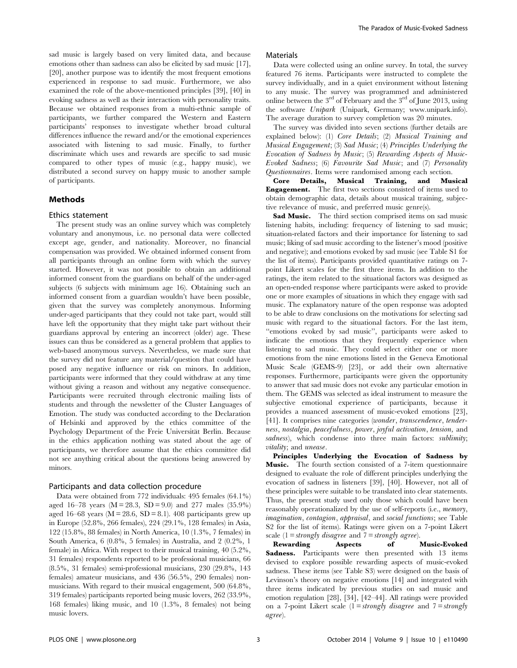sad music is largely based on very limited data, and because emotions other than sadness can also be elicited by sad music [17], [20], another purpose was to identify the most frequent emotions experienced in response to sad music. Furthermore, we also examined the role of the above-mentioned principles [39], [40] in evoking sadness as well as their interaction with personality traits. Because we obtained responses from a multi-ethnic sample of participants, we further compared the Western and Eastern participants' responses to investigate whether broad cultural differences influence the reward and/or the emotional experiences associated with listening to sad music. Finally, to further discriminate which uses and rewards are specific to sad music compared to other types of music (e.g., happy music), we distributed a second survey on happy music to another sample of participants.

## Methods

#### Ethics statement

The present study was an online survey which was completely voluntary and anonymous, i.e. no personal data were collected except age, gender, and nationality. Moreover, no financial compensation was provided. We obtained informed consent from all participants through an online form with which the survey started. However, it was not possible to obtain an additional informed consent from the guardians on behalf of the under-aged subjects (6 subjects with minimum age 16). Obtaining such an informed consent from a guardian wouldn't have been possible, given that the survey was completely anonymous. Informing under-aged participants that they could not take part, would still have left the opportunity that they might take part without their guardians approval by entering an incorrect (older) age. These issues can thus be considered as a general problem that applies to web-based anonymous surveys. Nevertheless, we made sure that the survey did not feature any material/question that could have posed any negative influence or risk on minors. In addition, participants were informed that they could withdraw at any time without giving a reason and without any negative consequence. Participants were recruited through electronic mailing lists of students and through the newsletter of the Cluster Languages of Emotion. The study was conducted according to the Declaration of Helsinki and approved by the ethics committee of the Psychology Department of the Freie Universität Berlin. Because in the ethics application nothing was stated about the age of participants, we therefore assume that the ethics committee did not see anything critical about the questions being answered by minors.

## Participants and data collection procedure

Data were obtained from 772 individuals: 495 females (64.1%) aged 16–78 years ( $M = 28.3$ ,  $SD = 9.0$ ) and 277 males (35.9%) aged 16–68 years ( $M = 28.6$ ,  $SD = 8.1$ ). 408 participants grew up in Europe (52.8%, 266 females), 224 (29.1%, 128 females) in Asia, 122 (15.8%, 88 females) in North America, 10 (1.3%, 7 females) in South America, 6 (0.8%, 5 females) in Australia, and 2 (0.2%, 1 female) in Africa. With respect to their musical training, 40 (5.2%, 31 females) respondents reported to be professional musicians, 66 (8.5%, 31 females) semi-professional musicians, 230 (29.8%, 143 females) amateur musicians, and 436 (56.5%, 290 females) nonmusicians. With regard to their musical engagement, 500 (64.8%, 319 females) participants reported being music lovers, 262 (33.9%, 168 females) liking music, and 10 (1.3%, 8 females) not being music lovers.

#### Materials

Data were collected using an online survey. In total, the survey featured 76 items. Participants were instructed to complete the survey individually, and in a quiet environment without listening to any music. The survey was programmed and administered online between the 3rd of February and the 3rd of June 2013, using the software Unipark (Unipark, Germany; [www.unipark.info\)](www.unipark.info). The average duration to survey completion was 20 minutes.

The survey was divided into seven sections (further details are explained below): (1) Core Details; (2) Musical Training and Musical Engagement; (3) Sad Music; (4) Principles Underlying the Evocation of Sadness by Music; (5) Rewarding Aspects of Music-Evoked Sadness; (6) Favourite Sad Music; and (7) Personality Questionnaires. Items were randomised among each section.

Core Details, Musical Training, and Musical Engagement. The first two sections consisted of items used to obtain demographic data, details about musical training, subjective relevance of music, and preferred music genre(s).

Sad Music. The third section comprised items on sad music listening habits, including: frequency of listening to sad music; situation-related factors and their importance for listening to sad music; liking of sad music according to the listener's mood (positive and negative); and emotions evoked by sad music (see Table S1 for the list of items). Participants provided quantitative ratings on 7 point Likert scales for the first three items. In addition to the ratings, the item related to the situational factors was designed as an open-ended response where participants were asked to provide one or more examples of situations in which they engage with sad music. The explanatory nature of the open response was adopted to be able to draw conclusions on the motivations for selecting sad music with regard to the situational factors. For the last item, ''emotions evoked by sad music'', participants were asked to indicate the emotions that they frequently experience when listening to sad music. They could select either one or more emotions from the nine emotions listed in the Geneva Emotional Music Scale (GEMS-9) [23], or add their own alternative responses. Furthermore, participants were given the opportunity to answer that sad music does not evoke any particular emotion in them. The GEMS was selected as ideal instrument to measure the subjective emotional experience of participants, because it provides a nuanced assessment of music-evoked emotions [23], [41]. It comprises nine categories (wonder, transcendence, tenderness, nostalgia, peacefulness, power, joyful activation, tension, and sadness), which condense into three main factors: sublimity; vitality; and unease.

Principles Underlying the Evocation of Sadness by Music. The fourth section consisted of a 7-item questionnaire designed to evaluate the role of different principles underlying the evocation of sadness in listeners [39], [40]. However, not all of these principles were suitable to be translated into clear statements. Thus, the present study used only those which could have been reasonably operationalized by the use of self-reports (i.e., memory, imagination, contagion, appraisal, and social functions; see Table S2 for the list of items). Ratings were given on a 7-point Likert scale  $(1 = strongly disagree and 7 = strongly agree).$ 

Rewarding Aspects of Music-Evoked Sadness. Participants were then presented with 13 items devised to explore possible rewarding aspects of music-evoked sadness. These items (see Table S3) were designed on the basis of Levinson's theory on negative emotions [14] and integrated with three items indicated by previous studies on sad music and emotion regulation [28], [34], [42–44]. All ratings were provided on a 7-point Likert scale  $(1 = strongly \, disagree \, and \, 7 = strongly$ agree).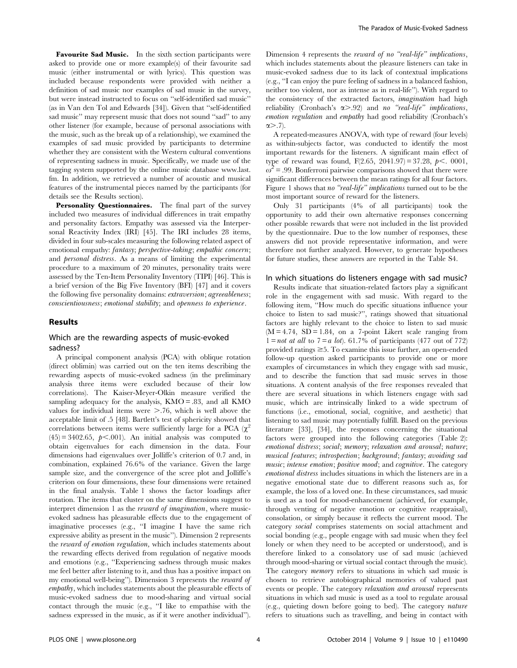Favourite Sad Music. In the sixth section participants were asked to provide one or more example(s) of their favourite sad music (either instrumental or with lyrics). This question was included because respondents were provided with neither a definition of sad music nor examples of sad music in the survey, but were instead instructed to focus on ''self-identified sad music'' (as in Van den Tol and Edwards [34]). Given that ''self-identified sad music" may represent music that does not sound "sad" to any other listener (for example, because of personal associations with the music, such as the break up of a relationship), we examined the examples of sad music provided by participants to determine whether they are consistent with the Western cultural conventions of representing sadness in music. Specifically, we made use of the tagging system supported by the online music database [www.last.](www.last.fm) [fm.](www.last.fm) In addition, we retrieved a number of acoustic and musical features of the instrumental pieces named by the participants (for details see the Results section).

Personality Questionnaires. The final part of the survey included two measures of individual differences in trait empathy and personality factors. Empathy was assessed via the Interpersonal Reactivity Index (IRI) [45]. The IRI includes 28 items, divided in four sub-scales measuring the following related aspect of emotional empathy: fantasy; perspective-taking; empathic concern; and personal distress. As a means of limiting the experimental procedure to a maximum of 20 minutes, personality traits were assessed by the Ten-Item Personality Inventory (TIPI) [46]. This is a brief version of the Big Five Inventory (BFI) [47] and it covers the following five personality domains: extraversion; agreeableness; conscientiousness; emotional stability; and openness to experience.

### Results

# Which are the rewarding aspects of music-evoked sadness?

A principal component analysis (PCA) with oblique rotation (direct oblimin) was carried out on the ten items describing the rewarding aspects of music-evoked sadness (in the preliminary analysis three items were excluded because of their low correlations). The Kaiser-Meyer-Olkin measure verified the sampling adequacy for the analysis, KMO = .83, and all KMO values for individual items were  $> 0.76$ , which is well above the acceptable limit of .5 [48]. Bartlett's test of sphericity showed that correlations between items were sufficiently large for a PCA  $(\chi^2)$  $(45) = 3402.65$ ,  $p < .001$ ). An initial analysis was computed to obtain eigenvalues for each dimension in the data. Four dimensions had eigenvalues over Jolliffe's criterion of 0.7 and, in combination, explained 76.6% of the variance. Given the large sample size, and the convergence of the scree plot and Jolliffe's criterion on four dimensions, these four dimensions were retained in the final analysis. Table 1 shows the factor loadings after rotation. The items that cluster on the same dimensions suggest to interpret dimension 1 as the *reward of imagination*, where musicevoked sadness has pleasurable effects due to the engagement of imaginative processes (e.g., "I imagine I have the same rich expressive ability as present in the music''). Dimension 2 represents the reward of emotion regulation, which includes statements about the rewarding effects derived from regulation of negative moods and emotions (e.g., ''Experiencing sadness through music makes me feel better after listening to it, and thus has a positive impact on my emotional well-being''). Dimension 3 represents the reward of empathy, which includes statements about the pleasurable effects of music-evoked sadness due to mood-sharing and virtual social contact through the music (e.g., ''I like to empathise with the sadness expressed in the music, as if it were another individual'').

Dimension 4 represents the reward of no "real-life" implications, which includes statements about the pleasure listeners can take in music-evoked sadness due to its lack of contextual implications (e.g., ''I can enjoy the pure feeling of sadness in a balanced fashion, neither too violent, nor as intense as in real-life''). With regard to the consistency of the extracted factors, imagination had high reliability (Cronbach's  $\alpha$ >.92) and no "real-life" implications, emotion regulation and empathy had good reliability (Cronbach's  $\alpha$ , 27).

A repeated-measures ANOVA, with type of reward (four levels) as within-subjects factor, was conducted to identify the most important rewards for the listeners. A significant main effect of type of reward was found,  $F(2.65, 2041.97) = 37.28, p < .0001,$  $\omega^2$  = .99. Bonferroni pairwise comparisons showed that there were significant differences between the mean ratings for all four factors. Figure 1 shows that no "real-life" implications turned out to be the most important source of reward for the listeners.

Only 31 participants (4% of all participants) took the opportunity to add their own alternative responses concerning other possible rewards that were not included in the list provided by the questionnaire. Due to the low number of responses, these answers did not provide representative information, and were therefore not further analyzed. However, to generate hypotheses for future studies, these answers are reported in the Table S4.

#### In which situations do listeners engage with sad music?

Results indicate that situation-related factors play a significant role in the engagement with sad music. With regard to the following item, ''How much do specific situations influence your choice to listen to sad music?'', ratings showed that situational factors are highly relevant to the choice to listen to sad music  $(M = 4.74, SD = 1.84, on a 7-point Likert scale ranging from$  $1 = not$  at all to  $7 = a$  lot). 61.7% of participants (477 out of 772) provided ratings  $\geq 5$ . To examine this issue further, an open-ended follow-up question asked participants to provide one or more examples of circumstances in which they engage with sad music, and to describe the function that sad music serves in those situations. A content analysis of the free responses revealed that there are several situations in which listeners engage with sad music, which are intrinsically linked to a wide spectrum of functions (i.e., emotional, social, cognitive, and aesthetic) that listening to sad music may potentially fulfill. Based on the previous literature [33], [34], the responses concerning the situational factors were grouped into the following categories (Table 2): emotional distress; social; memory; relaxation and arousal; nature; musical features; introspection; background; fantasy; avoiding sad music; intense emotion; positive mood; and cognitive. The category emotional distress includes situations in which the listeners are in a negative emotional state due to different reasons such as, for example, the loss of a loved one. In these circumstances, sad music is used as a tool for mood-enhancement (achieved, for example, through venting of negative emotion or cognitive reappraisal), consolation, or simply because it reflects the current mood. The category social comprises statements on social attachment and social bonding (e.g., people engage with sad music when they feel lonely or when they need to be accepted or understood), and is therefore linked to a consolatory use of sad music (achieved through mood-sharing or virtual social contact through the music). The category memory refers to situations in which sad music is chosen to retrieve autobiographical memories of valued past events or people. The category relaxation and arousal represents situations in which sad music is used as a tool to regulate arousal (e.g., quieting down before going to bed). The category nature refers to situations such as travelling, and being in contact with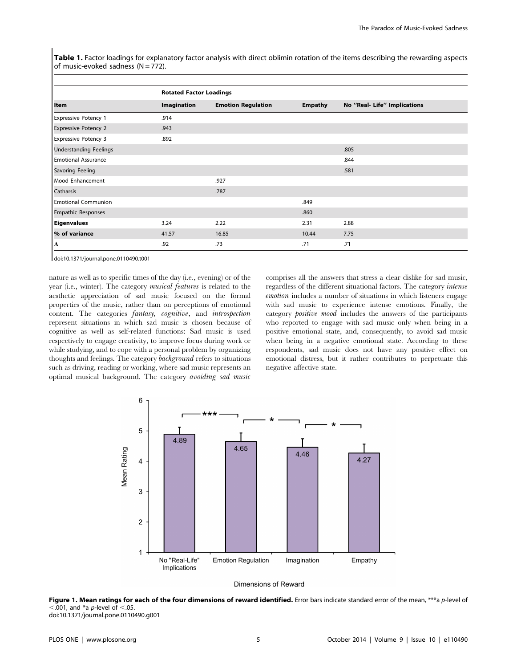Table 1. Factor loadings for explanatory factor analysis with direct oblimin rotation of the items describing the rewarding aspects of music-evoked sadness  $(N = 772)$ .

|                               | <b>Rotated Factor Loadings</b> |                           |                |                              |  |
|-------------------------------|--------------------------------|---------------------------|----------------|------------------------------|--|
| Item                          | Imagination                    | <b>Emotion Regulation</b> | <b>Empathy</b> | No "Real- Life" Implications |  |
| <b>Expressive Potency 1</b>   | .914                           |                           |                |                              |  |
| <b>Expressive Potency 2</b>   | .943                           |                           |                |                              |  |
| <b>Expressive Potency 3</b>   | .892                           |                           |                |                              |  |
| <b>Understanding Feelings</b> |                                |                           |                | .805                         |  |
| <b>Emotional Assurance</b>    |                                |                           |                | .844                         |  |
| <b>Savoring Feeling</b>       |                                |                           |                | .581                         |  |
| Mood Enhancement              |                                | .927                      |                |                              |  |
| Catharsis                     |                                | .787                      |                |                              |  |
| <b>Emotional Communion</b>    |                                |                           | .849           |                              |  |
| <b>Empathic Responses</b>     |                                |                           | .860           |                              |  |
| <b>Eigenvalues</b>            | 3.24                           | 2.22                      | 2.31           | 2.88                         |  |
| % of variance                 | 41.57                          | 16.85                     | 10.44          | 7.75                         |  |
| A                             | .92                            | .73                       | .71            | .71                          |  |

doi:10.1371/journal.pone.0110490.t001

nature as well as to specific times of the day (i.e., evening) or of the year (i.e., winter). The category musical features is related to the aesthetic appreciation of sad music focused on the formal properties of the music, rather than on perceptions of emotional content. The categories fantasy, cognitive, and introspection represent situations in which sad music is chosen because of cognitive as well as self-related functions: Sad music is used respectively to engage creativity, to improve focus during work or while studying, and to cope with a personal problem by organizing thoughts and feelings. The category background refers to situations such as driving, reading or working, where sad music represents an optimal musical background. The category avoiding sad music

comprises all the answers that stress a clear dislike for sad music, regardless of the different situational factors. The category intense emotion includes a number of situations in which listeners engage with sad music to experience intense emotions. Finally, the category positive mood includes the answers of the participants who reported to engage with sad music only when being in a positive emotional state, and, consequently, to avoid sad music when being in a negative emotional state. According to these respondents, sad music does not have any positive effect on emotional distress, but it rather contributes to perpetuate this negative affective state.





Figure 1. Mean ratings for each of the four dimensions of reward identified. Error bars indicate standard error of the mean, \*\*\*a p-level of  $<$ .001, and \*a p-level of  $<$ .05.

doi:10.1371/journal.pone.0110490.g001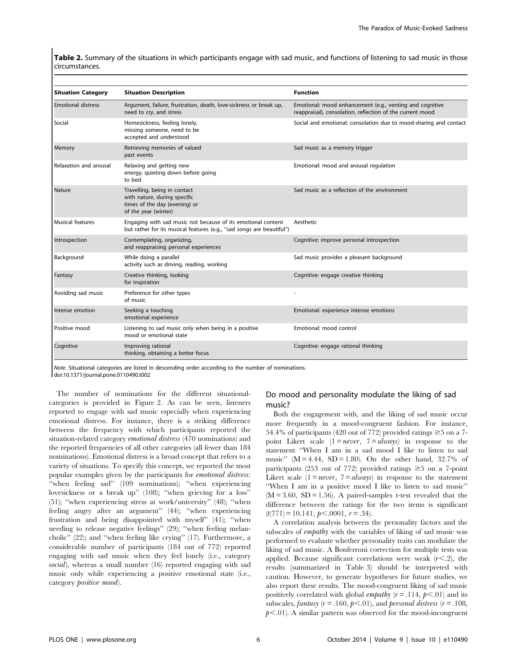Table 2. Summary of the situations in which participants engage with sad music, and functions of listening to sad music in those circumstances.

| <b>Situation Category</b> | <b>Situation Description</b>                                                                                                          | <b>Function</b>                                                                                                       |
|---------------------------|---------------------------------------------------------------------------------------------------------------------------------------|-----------------------------------------------------------------------------------------------------------------------|
| <b>Emotional distress</b> | Argument, failure, frustration, death, love-sickness or break up,<br>need to cry, and stress                                          | Emotional: mood enhancement (e.g., venting and cognitive<br>reappraisal), consolation, reflection of the current mood |
| Social                    | Homesickness, feeling lonely,<br>missing someone, need to be<br>accepted and understood                                               | Social and emotional: consolation due to mood-sharing and contact                                                     |
| Memory                    | Retrieving memories of valued<br>past events                                                                                          | Sad music as a memory trigger                                                                                         |
| Relaxation and arousal    | Relaxing and getting new<br>energy, quieting down before going<br>to bed                                                              | Emotional: mood and arousal regulation                                                                                |
| Nature                    | Travelling, being in contact<br>with nature, during specific<br>times of the day (evening) or<br>of the year (winter)                 | Sad music as a reflection of the environment                                                                          |
| Musical features          | Engaging with sad music not because of its emotional content<br>but rather for its musical features (e.g., "sad songs are beautiful") | Aesthetic                                                                                                             |
| Introspection             | Contemplating, organizing,<br>and reappraising personal experiences                                                                   | Cognitive: improve personal introspection                                                                             |
| Background                | While doing a parallel<br>activity such as driving, reading, working                                                                  | Sad music provides a pleasant background                                                                              |
| Fantasy                   | Creative thinking, looking<br>for inspiration                                                                                         | Cognitive: engage creative thinking                                                                                   |
| Avoiding sad music        | Preference for other types<br>of music                                                                                                |                                                                                                                       |
| Intense emotion           | Seeking a touching<br>emotional experience                                                                                            | Emotional: experience intense emotions                                                                                |
| Positive mood             | Listening to sad music only when being in a positive<br>mood or emotional state                                                       | Emotional: mood control                                                                                               |
| Cognitive                 | Improving rational<br>thinking, obtaining a better focus                                                                              | Cognitive: engage rational thinking                                                                                   |

Note. Situational categories are listed in descending order according to the number of nominations. doi:10.1371/journal.pone.0110490.t002

The number of nominations for the different situationalcategories is provided in Figure 2. As can be seen, listeners reported to engage with sad music especially when experiencing emotional distress. For instance, there is a striking difference between the frequency with which participants reported the situation-related category emotional distress (470 nominations) and the reported frequencies of all other categories (all fewer than 184 nominations). Emotional distress is a broad concept that refers to a variety of situations. To specify this concept, we reported the most popular examples given by the participants for emotional distress: ''when feeling sad'' (109 nominations); ''when experiencing lovesickness or a break up'' (108); ''when grieving for a loss'' (51); ''when experiencing stress at work/university'' (48); ''when feeling angry after an argument'' (44); ''when experiencing frustration and being disappointed with myself'' (41); ''when needing to release negative feelings'' (29); ''when feeling melancholic'' (22); and ''when feeling like crying'' (17). Furthermore, a considerable number of participants (184 out of 772) reported engaging with sad music when they feel lonely (i.e., category social), whereas a small number (16) reported engaging with sad music only while experiencing a positive emotional state (i.e., category positive mood).

# Do mood and personality modulate the liking of sad music?

Both the engagement with, and the liking of sad music occur more frequently in a mood-congruent fashion. For instance, 54.4% of participants (420 out of 772) provided ratings  $\geq$ 5 on a 7point Likert scale  $(1 = never, 7 = always)$  in response to the statement ''When I am in a sad mood I like to listen to sad music" ( $M = 4.44$ ,  $SD = 1.80$ ). On the other hand, 32.7% of participants (253 out of 772) provided ratings  $\geq$ 5 on a 7-point Likert scale  $(1 = never, 7 = always)$  in response to the statement ''When I am in a positive mood I like to listen to sad music''  $(M = 3.60, SD = 1.56)$ . A paired-samples t-test revealed that the difference between the ratings for the two items is significant  $(t(771) = 10.141, p < .0001, r = .34).$ 

A correlation analysis between the personality factors and the subscales of empathy with the variables of liking of sad music was performed to evaluate whether personality traits can modulate the liking of sad music. A Bonferroni correction for multiple tests was applied. Because significant correlations were weak  $(r<.2)$ , the results (summarized in Table 3) should be interpreted with caution. However, to generate hypotheses for future studies, we also report these results. The mood-congruent liking of sad music positively correlated with global *empathy*  $(r=.114, p<.01)$  and its subscales, fantasy ( $r = .160$ ,  $p < .01$ ), and personal distress ( $r = .108$ ,  $p<.01$ ). A similar pattern was observed for the mood-incongruent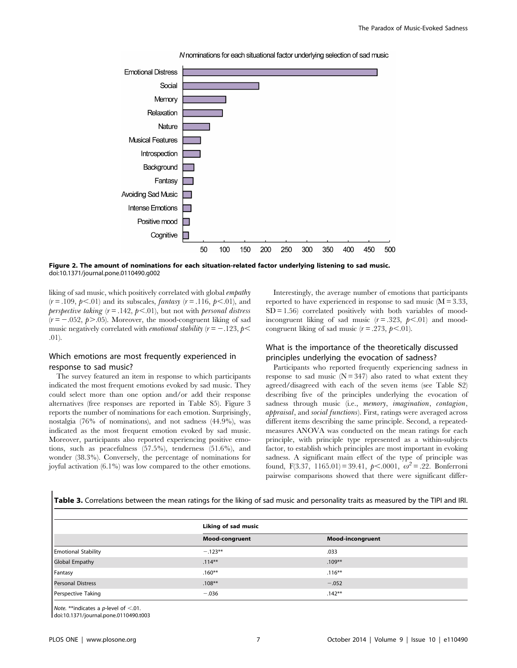

N nominations for each situational factor underlying selection of sad music

Figure 2. The amount of nominations for each situation-related factor underlying listening to sad music. doi:10.1371/journal.pone.0110490.g002

liking of sad music, which positively correlated with global empathy  $(r = .109, p < .01)$  and its subscales, *fantasy*  $(r = .116, p < .01)$ , and perspective taking  $(r=.142, p<.01)$ , but not with personal distress  $(r = -.052, p>.05)$ . Moreover, the mood-congruent liking of sad music negatively correlated with *emotional stability* ( $r = -123$ ,  $p <$ .01).

# Which emotions are most frequently experienced in response to sad music?

The survey featured an item in response to which participants indicated the most frequent emotions evoked by sad music. They could select more than one option and/or add their response alternatives (free responses are reported in Table S5). Figure 3 reports the number of nominations for each emotion. Surprisingly, nostalgia (76% of nominations), and not sadness (44.9%), was indicated as the most frequent emotion evoked by sad music. Moreover, participants also reported experiencing positive emotions, such as peacefulness (57.5%), tenderness (51.6%), and wonder (38.3%). Conversely, the percentage of nominations for joyful activation (6.1%) was low compared to the other emotions.

Interestingly, the average number of emotions that participants reported to have experienced in response to sad music  $(M = 3.33,$  $SD = 1.56$ ) correlated positively with both variables of moodincongruent liking of sad music  $(r=.323, p<.01)$  and moodcongruent liking of sad music  $(r=.273, p<.01)$ .

# What is the importance of the theoretically discussed principles underlying the evocation of sadness?

Participants who reported frequently experiencing sadness in response to sad music  $(N = 347)$  also rated to what extent they agreed/disagreed with each of the seven items (see Table S2) describing five of the principles underlying the evocation of sadness through music (i.e., memory, imagination, contagion, appraisal, and social functions). First, ratings were averaged across different items describing the same principle. Second, a repeatedmeasures ANOVA was conducted on the mean ratings for each principle, with principle type represented as a within-subjects factor, to establish which principles are most important in evoking sadness. A significant main effect of the type of principle was found, F(3.37, 1165.01) = 39.41,  $p<.0001$ ,  $\omega^2 = .22$ . Bonferroni pairwise comparisons showed that there were significant differ-

Table 3. Correlations between the mean ratings for the liking of sad music and personality traits as measured by the TIPI and IRI.

|                            | Liking of sad music |                         |  |
|----------------------------|---------------------|-------------------------|--|
|                            | Mood-congruent      | <b>Mood-incongruent</b> |  |
| <b>Emotional Stability</b> | $-.123**$           | .033                    |  |
| <b>Global Empathy</b>      | $.114***$           | $.109***$               |  |
| Fantasy                    | $.160**$            | $.116***$               |  |
| <b>Personal Distress</b>   | $.108**$            | $-.052$                 |  |
| Perspective Taking         | $-.036$             | $.142***$               |  |

Note. \*\*indicates a p-level of  $<$ .01.

doi:10.1371/journal.pone.0110490.t003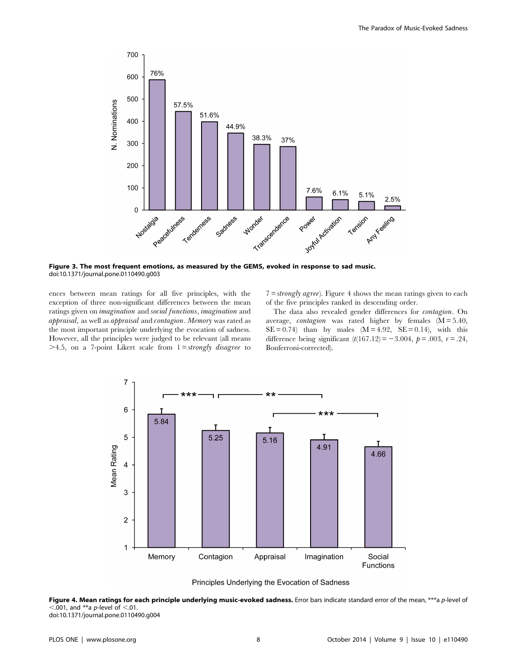

Figure 3. The most frequent emotions, as measured by the GEMS, evoked in response to sad music. doi:10.1371/journal.pone.0110490.g003

ences between mean ratings for all five principles, with the exception of three non-significant differences between the mean ratings given on imagination and social functions, imagination and appraisal, as well as appraisal and contagion. Memory was rated as the most important principle underlying the evocation of sadness. However, all the principles were judged to be relevant (all means  $>4.5$ , on a 7-point Likert scale from  $1 = strongly$  disagree to  $7 = strongly \text{ agree}$ ). Figure 4 shows the mean ratings given to each of the five principles ranked in descending order.

The data also revealed gender differences for contagion. On average, *contagion* was rated higher by females  $(M = 5.40,$  $SE = 0.74$ ) than by males  $(M = 4.92, SE = 0.14)$ , with this difference being significant  $(t(167.12) = -3.004, p = .003, r = .24,$ Bonferroni-corrected).



Principles Underlying the Evocation of Sadness

Figure 4. Mean ratings for each principle underlying music-evoked sadness. Error bars indicate standard error of the mean, \*\*\*a p-level of  $< .001$ , and \*\*a p-level of  $< .01$ . doi:10.1371/journal.pone.0110490.g004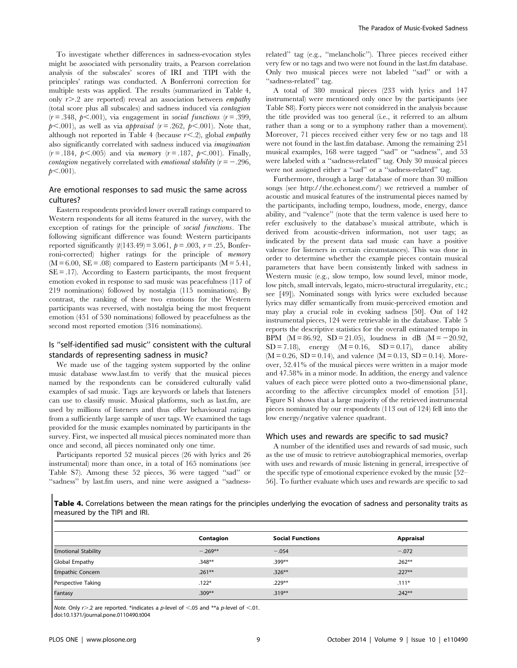To investigate whether differences in sadness-evocation styles might be associated with personality traits, a Pearson correlation analysis of the subscales' scores of IRI and TIPI with the principles' ratings was conducted. A Bonferroni correction for multiple tests was applied. The results (summarized in Table 4, only  $r$  > .2 are reported) reveal an association between *empathy* (total score plus all subscales) and sadness induced via contagion  $(r = .348, p < .001)$ , via engagement in social functions  $(r = .399,$  $p<.001$ ), as well as via *appraisal* ( $r=.262$ ,  $p<.001$ ). Note that, although not reported in Table 4 (because  $r \leq .2$ ), global *empathy* also significantly correlated with sadness induced via imagination  $(r = .184, p < .005)$  and via *memory*  $(r = .187, p < .001)$ . Finally, *contagion* negatively correlated with *emotional stability*  $(r = -.296,$  $p<.001$ ).

# Are emotional responses to sad music the same across cultures?

Eastern respondents provided lower overall ratings compared to Western respondents for all items featured in the survey, with the exception of ratings for the principle of social functions. The following significant difference was found: Western participants reported significantly  $(t(143.49) = 3.061, p = .003, r = .25, Bonfer$ roni-corrected) higher ratings for the principle of memory  $(M = 6.00, SE = .08)$  compared to Eastern participants  $(M = 5.41,$  $SE = .17$ ). According to Eastern participants, the most frequent emotion evoked in response to sad music was peacefulness (117 of 219 nominations) followed by nostalgia (115 nominations). By contrast, the ranking of these two emotions for the Western participants was reversed, with nostalgia being the most frequent emotion (451 of 530 nominations) followed by peacefulness as the second most reported emotion (316 nominations).

# Is ''self-identified sad music'' consistent with the cultural standards of representing sadness in music?

We made use of the tagging system supported by the online music database<www.last.fm> to verify that the musical pieces named by the respondents can be considered culturally valid examples of sad music. Tags are keywords or labels that listeners can use to classify music. Musical platforms, such as last.fm, are used by millions of listeners and thus offer behavioural ratings from a sufficiently large sample of user tags. We examined the tags provided for the music examples nominated by participants in the survey. First, we inspected all musical pieces nominated more than once and second, all pieces nominated only one time.

Participants reported 52 musical pieces (26 with lyrics and 26 instrumental) more than once, in a total of 165 nominations (see Table S7). Among these 52 pieces, 36 were tagged ''sad'' or ''sadness'' by last.fm users, and nine were assigned a ''sadnessrelated'' tag (e.g., ''melancholic''). Three pieces received either very few or no tags and two were not found in the last.fm database. Only two musical pieces were not labeled ''sad'' or with a "sadness-related" tag.

A total of 380 musical pieces (233 with lyrics and 147 instrumental) were mentioned only once by the participants (see Table S8). Forty pieces were not considered in the analysis because the title provided was too general (i.e., it referred to an album rather than a song or to a symphony rather than a movement). Moreover, 71 pieces received either very few or no tags and 18 were not found in the last.fm database. Among the remaining 251 musical examples, 168 were tagged ''sad'' or ''sadness'', and 53 were labeled with a ''sadness-related'' tag. Only 30 musical pieces were not assigned either a ''sad'' or a ''sadness-related'' tag.

Furthermore, through a large database of more than 30 million songs (see<http://the.echonest.com/>) we retrieved a number of acoustic and musical features of the instrumental pieces named by the participants, including tempo, loudness, mode, energy, dance ability, and ''valence'' (note that the term valence is used here to refer exclusively to the database's musical attribute, which is derived from acoustic-driven information, not user tags; as indicated by the present data sad music can have a positive valence for listeners in certain circumstances). This was done in order to determine whether the example pieces contain musical parameters that have been consistently linked with sadness in Western music (e.g., slow tempo, low sound level, minor mode, low pitch, small intervals, legato, micro-structural irregularity, etc.; see [49]). Nominated songs with lyrics were excluded because lyrics may differ semantically from music-perceived emotion and may play a crucial role in evoking sadness [50]. Out of 142 instrumental pieces, 124 were retrievable in the database. Table 5 reports the descriptive statistics for the overall estimated tempo in BPM ( $M = 86.92$ , SD = 21.05), loudness in dB ( $M = -20.92$ ,  $SD = 7.18$ , energy  $(M = 0.16, SD = 0.17)$ , dance ability  $(M = 0.26, SD = 0.14)$ , and valence  $(M = 0.13, SD = 0.14)$ . Moreover, 52.41% of the musical pieces were written in a major mode and 47.58% in a minor mode. In addition, the energy and valence values of each piece were plotted onto a two-dimensional plane, according to the affective circumplex model of emotion [51]. Figure S1 shows that a large majority of the retrieved instrumental pieces nominated by our respondents (113 out of 124) fell into the low energy/negative valence quadrant.

## Which uses and rewards are specific to sad music?

A number of the identified uses and rewards of sad music, such as the use of music to retrieve autobiographical memories, overlap with uses and rewards of music listening in general, irrespective of the specific type of emotional experience evoked by the music [52– 56]. To further evaluate which uses and rewards are specific to sad

Table 4. Correlations between the mean ratings for the principles underlying the evocation of sadness and personality traits as measured by the TIPI and IRI.

|                            | Contagion | <b>Social Functions</b> | Appraisal |
|----------------------------|-----------|-------------------------|-----------|
| <b>Emotional Stability</b> | $-.269**$ | $-.054$                 | $-.072$   |
| Global Empathy             | $.348**$  | $.399**$                | $.262**$  |
| <b>Empathic Concern</b>    | $.261**$  | $.326**$                | $.227**$  |
| Perspective Taking         | $.122*$   | $.229**$                | $.111*$   |
| Fantasy                    | $.309**$  | $.319***$               | $.242**$  |

Note. Only  $r > 0.2$  are reported. \*indicates a p-level of <.05 and \*\*a p-level of <.01.

doi:10.1371/journal.pone.0110490.t004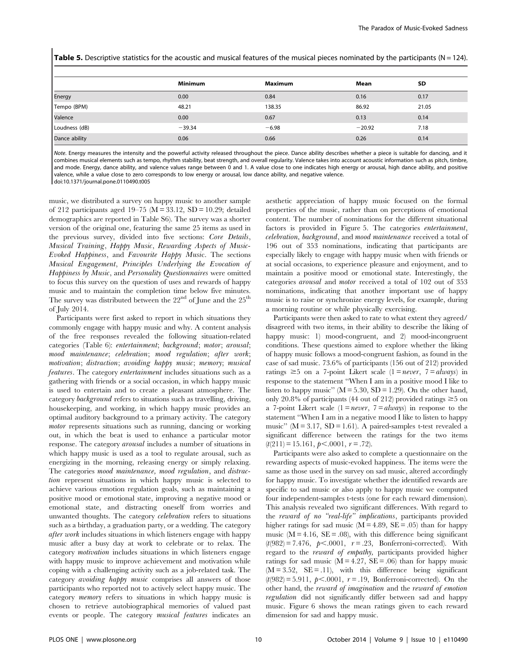Table 5. Descriptive statistics for the acoustic and musical features of the musical pieces nominated by the participants ( $N = 124$ ).

|               | <b>Minimum</b> | Maximum | Mean     | <b>SD</b> |
|---------------|----------------|---------|----------|-----------|
| Energy        | 0.00           | 0.84    | 0.16     | 0.17      |
| Tempo (BPM)   | 48.21          | 138.35  | 86.92    | 21.05     |
| Valence       | 0.00           | 0.67    | 0.13     | 0.14      |
| Loudness (dB) | $-39.34$       | $-6.98$ | $-20.92$ | 7.18      |
| Dance ability | 0.06           | 0.66    | 0.26     | 0.14      |

Note. Energy measures the intensity and the powerful activity released throughout the piece. Dance ability describes whether a piece is suitable for dancing, and it combines musical elements such as tempo, rhythm stability, beat strength, and overall regularity. Valence takes into account acoustic information such as pitch, timbre, and mode. Energy, dance ability, and valence values range between 0 and 1. A value close to one indicates high energy or arousal, high dance ability, and positive valence, while a value close to zero corresponds to low energy or arousal, low dance ability, and negative valence. doi:10.1371/journal.pone.0110490.t005

music, we distributed a survey on happy music to another sample of 212 participants aged 19–75 ( $M = 33.12$ ,  $SD = 10.29$ ; detailed demographics are reported in Table S6). The survey was a shorter version of the original one, featuring the same 25 items as used in the previous survey, divided into five sections: Core Details, Musical Training, Happy Music, Rewarding Aspects of Music-Evoked Happiness, and Favourite Happy Music. The sections Musical Engagement, Principles Underlying the Evocation of Happiness by Music, and Personality Questionnaires were omitted to focus this survey on the question of uses and rewards of happy music and to maintain the completion time below five minutes. The survey was distributed between the  $22<sup>nd</sup>$  of June and the  $25<sup>th</sup>$ of July 2014.

Participants were first asked to report in which situations they commonly engage with happy music and why. A content analysis of the free responses revealed the following situation-related categories (Table 6): entertainment; background; motor; arousal; mood maintenance; celebration; mood regulation; after work; motivation; distraction; avoiding happy music; memory; musical features. The category entertainment includes situations such as a gathering with friends or a social occasion, in which happy music is used to entertain and to create a pleasant atmosphere. The category background refers to situations such as travelling, driving, housekeeping, and working, in which happy music provides an optimal auditory background to a primary activity. The category motor represents situations such as running, dancing or working out, in which the beat is used to enhance a particular motor response. The category arousal includes a number of situations in which happy music is used as a tool to regulate arousal, such as energizing in the morning, releasing energy or simply relaxing. The categories mood maintenance, mood regulation, and distraction represent situations in which happy music is selected to achieve various emotion regulation goals, such as maintaining a positive mood or emotional state, improving a negative mood or emotional state, and distracting oneself from worries and unwanted thoughts. The category celebration refers to situations such as a birthday, a graduation party, or a wedding. The category after work includes situations in which listeners engage with happy music after a busy day at work to celebrate or to relax. The category motivation includes situations in which listeners engage with happy music to improve achievement and motivation while coping with a challenging activity such as a job-related task. The category avoiding happy music comprises all answers of those participants who reported not to actively select happy music. The category memory refers to situations in which happy music is chosen to retrieve autobiographical memories of valued past events or people. The category musical features indicates an aesthetic appreciation of happy music focused on the formal properties of the music, rather than on perceptions of emotional content. The number of nominations for the different situational factors is provided in Figure 5. The categories entertainment, celebration, background, and mood maintenance received a total of 196 out of 353 nominations, indicating that participants are especially likely to engage with happy music when with friends or at social occasions, to experience pleasure and enjoyment, and to maintain a positive mood or emotional state. Interestingly, the categories arousal and motor received a total of 102 out of 353 nominations, indicating that another important use of happy music is to raise or synchronize energy levels, for example, during a morning routine or while physically exercising.

Participants were then asked to rate to what extent they agreed/ disagreed with two items, in their ability to describe the liking of happy music: 1) mood-congruent, and 2) mood-incongruent conditions. These questions aimed to explore whether the liking of happy music follows a mood-congruent fashion, as found in the case of sad music. 73.6% of participants (156 out of 212) provided ratings  $\geq 5$  on a 7-point Likert scale (1 = *never*, 7 = *always*) in response to the statement ''When I am in a positive mood I like to listen to happy music" ( $M = 5.30$ ,  $SD = 1.29$ ). On the other hand, only 20.8% of participants (44 out of 212) provided ratings  $\geq 5$  on a 7-point Likert scale  $(1 = never, 7 = always)$  in response to the statement ''When I am in a negative mood I like to listen to happy music" ( $M = 3.17$ ,  $SD = 1.61$ ). A paired-samples t-test revealed a significant difference between the ratings for the two items  $(t(211) = 15.161, p<.0001, r = .72).$ 

Participants were also asked to complete a questionnaire on the rewarding aspects of music-evoked happiness. The items were the same as those used in the survey on sad music, altered accordingly for happy music. To investigate whether the identified rewards are specific to sad music or also apply to happy music we computed four independent-samples t-tests (one for each reward dimension). This analysis revealed two significant differences. With regard to the reward of no "real-life" implications, participants provided higher ratings for sad music ( $M = 4.89$ ,  $SE = .05$ ) than for happy music ( $M = 4.16$ ,  $SE = .08$ ), with this difference being significant  $(t(982) = 7.476, p < .0001, r = .23, Bonferroni-corrected).$  With regard to the reward of empathy, participants provided higher ratings for sad music ( $M = 4.27$ ,  $SE = .06$ ) than for happy music  $(M = 3.52, SE = .11)$ , with this difference being significant  $(t(982) = 5.911, p < .0001, r = .19, Bonferroni-corrected).$  On the other hand, the reward of imagination and the reward of emotion regulation did not significantly differ between sad and happy music. Figure 6 shows the mean ratings given to each reward dimension for sad and happy music.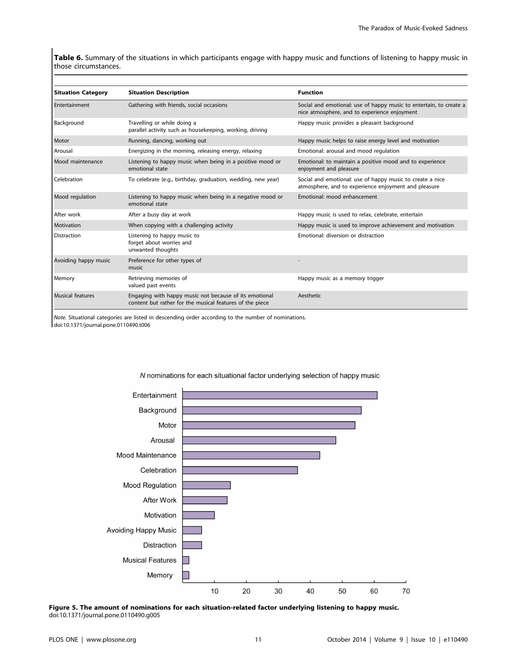Table 6. Summary of the situations in which participants engage with happy music and functions of listening to happy music in those circumstances.

| <b>Situation Category</b> | <b>Situation Description</b>                                                                                       | <b>Function</b>                                                                                                    |
|---------------------------|--------------------------------------------------------------------------------------------------------------------|--------------------------------------------------------------------------------------------------------------------|
| Entertainment             | Gathering with friends, social occasions                                                                           | Social and emotional: use of happy music to entertain, to create a<br>nice atmosphere, and to experience enjoyment |
| Background                | Travelling or while doing a<br>parallel activity such as housekeeping, working, driving                            | Happy music provides a pleasant background                                                                         |
| Motor                     | Running, dancing, working out                                                                                      | Happy music helps to raise energy level and motivation                                                             |
| Arousal                   | Energizing in the morning, releasing energy, relaxing                                                              | Emotional: arousal and mood regulation                                                                             |
| Mood maintenance          | Listening to happy music when being in a positive mood or<br>emotional state                                       | Emotional: to maintain a positive mood and to experience<br>enjoyment and pleasure                                 |
| <b>Celebration</b>        | To celebrate (e.g., birthday, graduation, wedding, new year)                                                       | Social and emotional: use of happy music to create a nice<br>atmosphere, and to experience enjoyment and pleasure  |
| Mood regulation           | Listening to happy music when being in a negative mood or<br>emotional state                                       | Emotional: mood enhancement                                                                                        |
| l After work              | After a busy day at work                                                                                           | Happy music is used to relax, celebrate, entertain                                                                 |
| Motivation                | When copying with a challenging activity                                                                           | Happy music is used to improve achievement and motivation                                                          |
| <b>Distraction</b>        | Listening to happy music to<br>forget about worries and<br>unwanted thoughts                                       | Emotional: diversion or distraction                                                                                |
| Avoiding happy music      | Preference for other types of<br>music                                                                             |                                                                                                                    |
| Memory                    | Retrieving memories of<br>valued past events                                                                       | Happy music as a memory trigger                                                                                    |
| <b>Musical features</b>   | Engaging with happy music not because of its emotional<br>content but rather for the musical features of the piece | Aesthetic                                                                                                          |

Note. Situational categories are listed in descending order according to the number of nominations. doi:10.1371/journal.pone.0110490.t006



N nominations for each situational factor underlying selection of happy music

Figure 5. The amount of nominations for each situation-related factor underlying listening to happy music. doi:10.1371/journal.pone.0110490.g005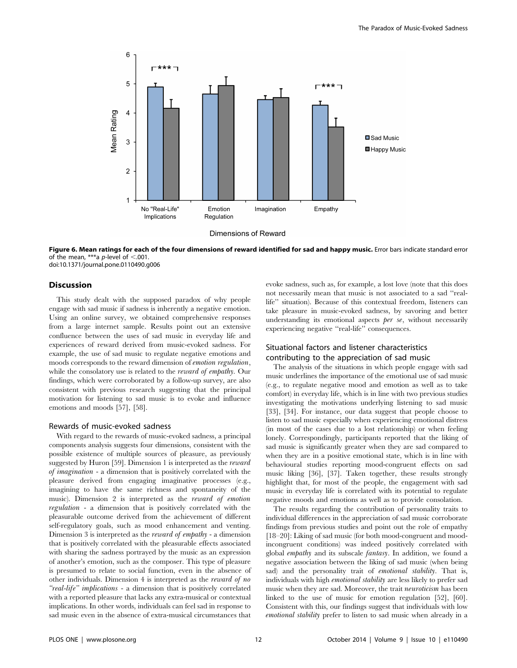

Figure 6. Mean ratings for each of the four dimensions of reward identified for sad and happy music. Error bars indicate standard error of the mean, \*\*\*a p-level of  $< .001$ . doi:10.1371/journal.pone.0110490.g006

#### **Discussion**

This study dealt with the supposed paradox of why people engage with sad music if sadness is inherently a negative emotion. Using an online survey, we obtained comprehensive responses from a large internet sample. Results point out an extensive confluence between the uses of sad music in everyday life and experiences of reward derived from music-evoked sadness. For example, the use of sad music to regulate negative emotions and moods corresponds to the reward dimension of emotion regulation, while the consolatory use is related to the *reward of empathy*. Our findings, which were corroborated by a follow-up survey, are also consistent with previous research suggesting that the principal motivation for listening to sad music is to evoke and influence emotions and moods [57], [58].

#### Rewards of music-evoked sadness

With regard to the rewards of music-evoked sadness, a principal components analysis suggests four dimensions, consistent with the possible existence of multiple sources of pleasure, as previously suggested by Huron [59]. Dimension 1 is interpreted as the reward of imagination - a dimension that is positively correlated with the pleasure derived from engaging imaginative processes (e.g., imagining to have the same richness and spontaneity of the music). Dimension 2 is interpreted as the reward of emotion regulation - a dimension that is positively correlated with the pleasurable outcome derived from the achievement of different self-regulatory goals, such as mood enhancement and venting. Dimension 3 is interpreted as the reward of empathy - a dimension that is positively correlated with the pleasurable effects associated with sharing the sadness portrayed by the music as an expression of another's emotion, such as the composer. This type of pleasure is presumed to relate to social function, even in the absence of other individuals. Dimension 4 is interpreted as the reward of no "real-life" implications - a dimension that is positively correlated with a reported pleasure that lacks any extra-musical or contextual implications. In other words, individuals can feel sad in response to sad music even in the absence of extra-musical circumstances that evoke sadness, such as, for example, a lost love (note that this does not necessarily mean that music is not associated to a sad ''reallife'' situation). Because of this contextual freedom, listeners can take pleasure in music-evoked sadness, by savoring and better understanding its emotional aspects *per se*, without necessarily experiencing negative ''real-life'' consequences.

# Situational factors and listener characteristics contributing to the appreciation of sad music

The analysis of the situations in which people engage with sad music underlines the importance of the emotional use of sad music (e.g., to regulate negative mood and emotion as well as to take comfort) in everyday life, which is in line with two previous studies investigating the motivations underlying listening to sad music [33], [34]. For instance, our data suggest that people choose to listen to sad music especially when experiencing emotional distress (in most of the cases due to a lost relationship) or when feeling lonely. Correspondingly, participants reported that the liking of sad music is significantly greater when they are sad compared to when they are in a positive emotional state, which is in line with behavioural studies reporting mood-congruent effects on sad music liking [36], [37]. Taken together, these results strongly highlight that, for most of the people, the engagement with sad music in everyday life is correlated with its potential to regulate negative moods and emotions as well as to provide consolation.

The results regarding the contribution of personality traits to individual differences in the appreciation of sad music corroborate findings from previous studies and point out the role of empathy [18–20]: Liking of sad music (for both mood-congruent and moodincongruent conditions) was indeed positively correlated with global empathy and its subscale fantasy. In addition, we found a negative association between the liking of sad music (when being sad) and the personality trait of *emotional stability*. That is, individuals with high emotional stability are less likely to prefer sad music when they are sad. Moreover, the trait neuroticism has been linked to the use of music for emotion regulation [52], [60]. Consistent with this, our findings suggest that individuals with low emotional stability prefer to listen to sad music when already in a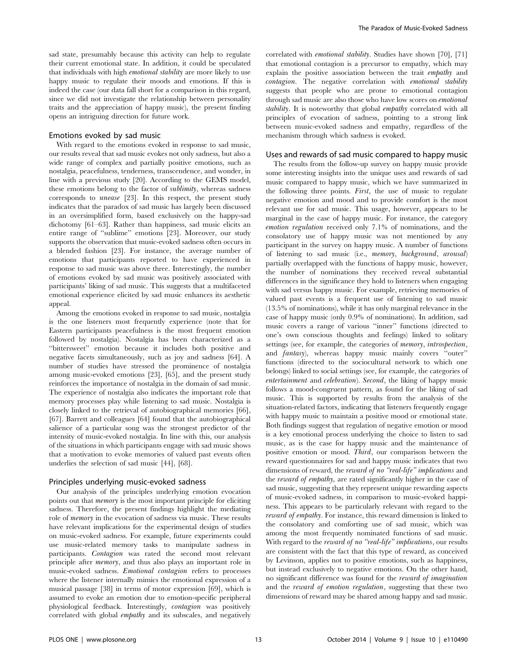sad state, presumably because this activity can help to regulate their current emotional state. In addition, it could be speculated that individuals with high emotional stability are more likely to use happy music to regulate their moods and emotions. If this is indeed the case (our data fall short for a comparison in this regard, since we did not investigate the relationship between personality traits and the appreciation of happy music), the present finding opens an intriguing direction for future work.

#### Emotions evoked by sad music

With regard to the emotions evoked in response to sad music. our results reveal that sad music evokes not only sadness, but also a wide range of complex and partially positive emotions, such as nostalgia, peacefulness, tenderness, transcendence, and wonder, in line with a previous study [20]. According to the GEMS model, these emotions belong to the factor of sublimity, whereas sadness corresponds to unease [23]. In this respect, the present study indicates that the paradox of sad music has largely been discussed in an oversimplified form, based exclusively on the happy-sad dichotomy [61–63]. Rather than happiness, sad music elicits an entire range of ''sublime'' emotions [23]. Moreover, our study supports the observation that music-evoked sadness often occurs in a blended fashion [23]. For instance, the average number of emotions that participants reported to have experienced in response to sad music was above three. Interestingly, the number of emotions evoked by sad music was positively associated with participants' liking of sad music. This suggests that a multifaceted emotional experience elicited by sad music enhances its aesthetic appeal.

Among the emotions evoked in response to sad music, nostalgia is the one listeners most frequently experience (note that for Eastern participants peacefulness is the most frequent emotion followed by nostalgia). Nostalgia has been characterized as a ''bittersweet'' emotion because it includes both positive and negative facets simultaneously, such as joy and sadness [64]. A number of studies have stressed the prominence of nostalgia among music-evoked emotions [23], [65], and the present study reinforces the importance of nostalgia in the domain of sad music. The experience of nostalgia also indicates the important role that memory processes play while listening to sad music. Nostalgia is closely linked to the retrieval of autobiographical memories [66], [67]. Barrett and colleagues [64] found that the autobiographical salience of a particular song was the strongest predictor of the intensity of music-evoked nostalgia. In line with this, our analysis of the situations in which participants engage with sad music shows that a motivation to evoke memories of valued past events often underlies the selection of sad music [44], [68].

## Principles underlying music-evoked sadness

Our analysis of the principles underlying emotion evocation points out that memory is the most important principle for eliciting sadness. Therefore, the present findings highlight the mediating role of memory in the evocation of sadness via music. These results have relevant implications for the experimental design of studies on music-evoked sadness. For example, future experiments could use music-related memory tasks to manipulate sadness in participants. Contagion was rated the second most relevant principle after memory, and thus also plays an important role in music-evoked sadness. Emotional contagion refers to processes where the listener internally mimics the emotional expression of a musical passage [38] in terms of motor expression [69], which is assumed to evoke an emotion due to emotion-specific peripheral physiological feedback. Interestingly, contagion was positively correlated with global empathy and its subscales, and negatively correlated with emotional stability. Studies have shown [70], [71] that emotional contagion is a precursor to empathy, which may explain the positive association between the trait empathy and contagion. The negative correlation with emotional stability suggests that people who are prone to emotional contagion through sad music are also those who have low scores on emotional stability. It is noteworthy that global empathy correlated with all principles of evocation of sadness, pointing to a strong link between music-evoked sadness and empathy, regardless of the mechanism through which sadness is evoked.

#### Uses and rewards of sad music compared to happy music

The results from the follow-up survey on happy music provide some interesting insights into the unique uses and rewards of sad music compared to happy music, which we have summarized in the following three points. First, the use of music to regulate negative emotion and mood and to provide comfort is the most relevant use for sad music. This usage, however, appears to be marginal in the case of happy music. For instance, the category emotion regulation received only 7.1% of nominations, and the consolatory use of happy music was not mentioned by any participant in the survey on happy music. A number of functions of listening to sad music (i.e., memory, background, arousal) partially overlapped with the functions of happy music, however, the number of nominations they received reveal substantial differences in the significance they hold to listeners when engaging with sad versus happy music. For example, retrieving memories of valued past events is a frequent use of listening to sad music (13.5% of nominations), while it has only marginal relevance in the case of happy music (only 0.9% of nominations). In addition, sad music covers a range of various ''inner'' functions (directed to one's own conscious thoughts and feelings) linked to solitary settings (see, for example, the categories of memory, introspection, and fantasy), whereas happy music mainly covers ''outer'' functions (directed to the sociocultural network to which one belongs) linked to social settings (see, for example, the categories of entertainment and celebration). Second, the liking of happy music follows a mood-congruent pattern, as found for the liking of sad music. This is supported by results from the analysis of the situation-related factors, indicating that listeners frequently engage with happy music to maintain a positive mood or emotional state. Both findings suggest that regulation of negative emotion or mood is a key emotional process underlying the choice to listen to sad music, as is the case for happy music and the maintenance of positive emotion or mood. Third, our comparison between the reward questionnaires for sad and happy music indicates that two dimensions of reward, the reward of no "real-life" implications and the reward of empathy, are rated significantly higher in the case of sad music, suggesting that they represent unique rewarding aspects of music-evoked sadness, in comparison to music-evoked happiness. This appears to be particularly relevant with regard to the reward of empathy. For instance, this reward dimension is linked to the consolatory and comforting use of sad music, which was among the most frequently nominated functions of sad music. With regard to the reward of no "real-life" implications, our results are consistent with the fact that this type of reward, as conceived by Levinson, applies not to positive emotions, such as happiness, but instead exclusively to negative emotions. On the other hand, no significant difference was found for the reward of imagination and the reward of emotion regulation, suggesting that these two dimensions of reward may be shared among happy and sad music.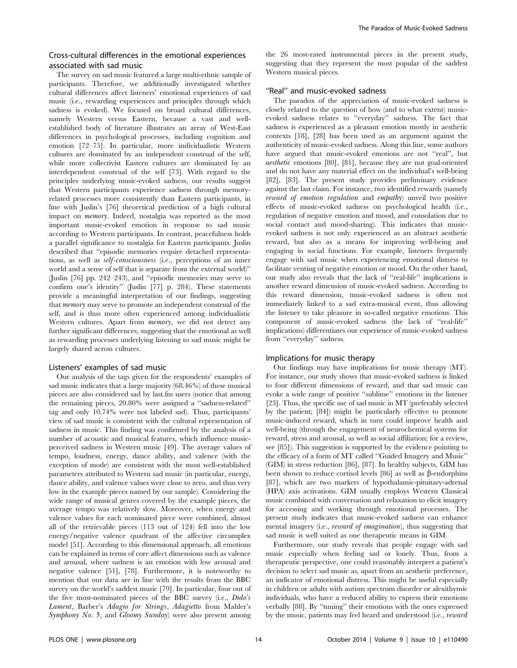# Cross-cultural differences in the emotional experiences associated with sad music

The survey on sad music featured a large multi-ethnic sample of participants. Therefore, we additionally investigated whether cultural differences affect listeners' emotional experiences of sad music (i.e., rewarding experiences and principles through which sadness is evoked). We focused on broad cultural differences, namely Western versus Eastern, because a vast and wellestablished body of literature illustrates an array of West-East differences in psychological processes, including cognition and emotion [72–75]. In particular, more individualistic Western cultures are dominated by an independent construal of the self, while more collectivist Eastern cultures are dominated by an interdependent construal of the self [73]. With regard to the principles underlying music-evoked sadness, our results suggest that Western participants experience sadness through memoryrelated processes more consistently than Eastern participants, in line with Juslin's [76] theoretical prediction of a high cultural impact on memory. Indeed, nostalgia was reported as the most important music-evoked emotion in response to sad music according to Western participants. In contrast, peacefulness holds a parallel significance to nostalgia for Eastern participants. Juslin described that ''episodic memories require detached representations, as well as self-consciousness (i.e., perceptions of an inner world and a sense of self that is separate from the external world)'' (Juslin [76] pp. 242–243), and ''episodic memories may serve to confirm one's identity'' (Juslin [77] p. 284). These statements provide a meaningful interpretation of our findings, suggesting that memory may serve to promote an independent construal of the self, and is thus more often experienced among individualistic Western cultures. Apart from memory, we did not detect any further significant differences, suggesting that the emotional as well as rewarding processes underlying listening to sad music might be largely shared across cultures.

## Listeners' examples of sad music

Our analysis of the tags given for the respondents' examples of sad music indicates that a large majority (68.46%) of these musical pieces are also considered sad by last.fm users (notice that among the remaining pieces, 20.80% were assigned a ''sadness-related'' tag and only 10.74% were not labeled sad). Thus, participants' view of sad music is consistent with the cultural representation of sadness in music. This finding was confirmed by the analysis of a number of acoustic and musical features, which influence musicperceived sadness in Western music [49]. The average values of tempo, loudness, energy, dance ability, and valence (with the exception of mode) are consistent with the most well-established parameters attributed to Western sad music (in particular, energy, dance ability, and valence values were close to zero, and thus very low in the example pieces named by our sample). Considering the wide range of musical genres covered by the example pieces, the average tempo was relatively slow. Moreover, when energy and valence values for each nominated piece were combined, almost all of the retrievable pieces (113 out of 124) fell into the low energy/negative valence quadrant of the affective circumplex model [51]. According to this dimensional approach, all emotions can be explained in terms of core affect dimensions such as valence and arousal, where sadness is an emotion with low arousal and negative valence [51], [78]. Furthermore, it is noteworthy to mention that our data are in line with the results from the BBC survey on the world's saddest music [79]. In particular, four out of the five most-nominated pieces of the BBC survey (i.e., Dido's Lament, Barber's Adagio for Strings, Adagietto from Mahler's Symphony No. 5, and Gloomy Sunday) were also present among

the 26 most-rated instrumental pieces in the present study, suggesting that they represent the most popular of the saddest Western musical pieces.

## ''Real'' and music-evoked sadness

The paradox of the appreciation of music-evoked sadness is closely related to the question of how (and to what extent) musicevoked sadness relates to ''everyday'' sadness. The fact that sadness is experienced as a pleasant emotion mostly in aesthetic contexts [18], [28] has been used as an argument against the authenticity of music-evoked sadness. Along this line, some authors have argued that music-evoked emotions are not "real", but aesthetic emotions [80], [81], because they are not goal-oriented and do not have any material effect on the individual's well-being [82], [83]. The present study provides preliminary evidence against the last claim. For instance, two identified rewards (namely reward of emotion regulation and empathy) unveil two positive effects of music-evoked sadness on psychological health (i.e., regulation of negative emotion and mood, and consolation due to social contact and mood-sharing). This indicates that musicevoked sadness is not only experienced as an abstract aesthetic reward, but also as a means for improving well-being and engaging in social functions. For example, listeners frequently engage with sad music when experiencing emotional distress to facilitate venting of negative emotion or mood. On the other hand, our study also reveals that the lack of ''real-life'' implications is another reward dimension of music-evoked sadness. According to this reward dimension, music-evoked sadness is often not immediately linked to a sad extra-musical event, thus allowing the listener to take pleasure in so-called negative emotions. This component of music-evoked sadness (the lack of ''real-life'' implications) differentiates our experience of music-evoked sadness from ''everyday'' sadness.

## Implications for music therapy

Our findings may have implications for music therapy (MT). For instance, our study shows that music-evoked sadness is linked to four different dimensions of reward, and that sad music can evoke a wide range of positive ''sublime'' emotions in the listener [23]. Thus, the specific use of sad music in MT (preferably selected by the patient; [84]) might be particularly effective to promote music-induced reward, which in turn could improve health and well-being (through the engagement of neurochemical systems for reward, stress and arousal, as well as social affiliation; for a review, see [85]). This suggestion is supported by the evidence pointing to the efficacy of a form of MT called ''Guided Imagery and Music'' (GIM) in stress reduction [86], [87]. In healthy subjects, GIM has been shown to reduce cortisol levels [86] as well as  $\beta$ -endorphins [87], which are two markers of hypothalamic-pituitary-adrenal (HPA) axis activations. GIM usually employs Western Classical music combined with conversation and relaxation to elicit imagery for accessing and working through emotional processes. The present study indicates that music-evoked sadness can enhance mental imagery (i.e., *reward of imagination*), thus suggesting that sad music is well suited as one therapeutic means in GIM.

Furthermore, our study reveals that people engage with sad music especially when feeling sad or lonely. Thus, from a therapeutic perspective, one could reasonably interpret a patient's decision to select sad music as, apart from an aesthetic preference, an indicator of emotional distress. This might be useful especially in children or adults with autism spectrum disorder or alexithymic individuals, who have a reduced ability to express their emotions verbally [88]. By ''tuning'' their emotions with the ones expressed by the music, patients may feel heard and understood (i.e., reward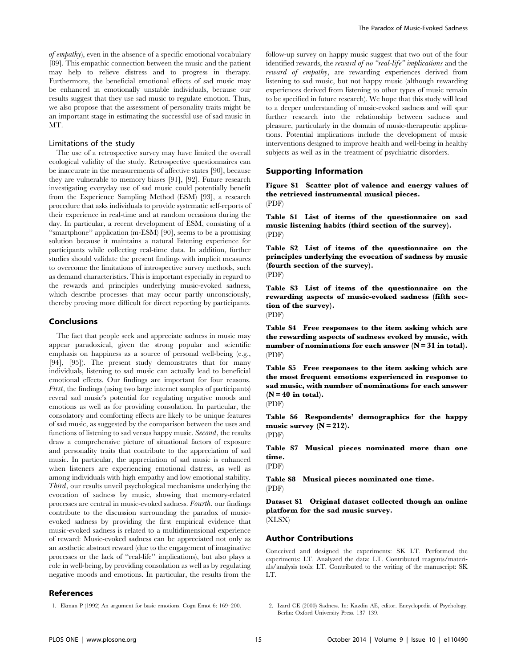of empathy), even in the absence of a specific emotional vocabulary [89]. This empathic connection between the music and the patient may help to relieve distress and to progress in therapy. Furthermore, the beneficial emotional effects of sad music may be enhanced in emotionally unstable individuals, because our results suggest that they use sad music to regulate emotion. Thus, we also propose that the assessment of personality traits might be an important stage in estimating the successful use of sad music in MT.

## Limitations of the study

The use of a retrospective survey may have limited the overall ecological validity of the study. Retrospective questionnaires can be inaccurate in the measurements of affective states [90], because they are vulnerable to memory biases [91], [92]. Future research investigating everyday use of sad music could potentially benefit from the Experience Sampling Method (ESM) [93], a research procedure that asks individuals to provide systematic self-reports of their experience in real-time and at random occasions during the day. In particular, a recent development of ESM, consisting of a ''smartphone'' application (m-ESM) [90], seems to be a promising solution because it maintains a natural listening experience for participants while collecting real-time data. In addition, further studies should validate the present findings with implicit measures to overcome the limitations of introspective survey methods, such as demand characteristics. This is important especially in regard to the rewards and principles underlying music-evoked sadness, which describe processes that may occur partly unconsciously, thereby proving more difficult for direct reporting by participants.

## Conclusions

The fact that people seek and appreciate sadness in music may appear paradoxical, given the strong popular and scientific emphasis on happiness as a source of personal well-being (e.g., [94], [95]). The present study demonstrates that for many individuals, listening to sad music can actually lead to beneficial emotional effects. Our findings are important for four reasons. First, the findings (using two large internet samples of participants) reveal sad music's potential for regulating negative moods and emotions as well as for providing consolation. In particular, the consolatory and comforting effects are likely to be unique features of sad music, as suggested by the comparison between the uses and functions of listening to sad versus happy music. Second, the results draw a comprehensive picture of situational factors of exposure and personality traits that contribute to the appreciation of sad music. In particular, the appreciation of sad music is enhanced when listeners are experiencing emotional distress, as well as among individuals with high empathy and low emotional stability. Third, our results unveil psychological mechanisms underlying the evocation of sadness by music, showing that memory-related processes are central in music-evoked sadness. Fourth, our findings contribute to the discussion surrounding the paradox of musicevoked sadness by providing the first empirical evidence that music-evoked sadness is related to a multidimensional experience of reward: Music-evoked sadness can be appreciated not only as an aesthetic abstract reward (due to the engagement of imaginative processes or the lack of ''real-life'' implications), but also plays a role in well-being, by providing consolation as well as by regulating negative moods and emotions. In particular, the results from the

## References

follow-up survey on happy music suggest that two out of the four identified rewards, the reward of no "real-life" implications and the reward of empathy, are rewarding experiences derived from listening to sad music, but not happy music (although rewarding experiences derived from listening to other types of music remain to be specified in future research). We hope that this study will lead to a deeper understanding of music-evoked sadness and will spur further research into the relationship between sadness and pleasure, particularly in the domain of music-therapeutic applications. Potential implications include the development of music interventions designed to improve health and well-being in healthy subjects as well as in the treatment of psychiatric disorders.

## Supporting Information

Figure S1 Scatter plot of valence and energy values of the retrieved instrumental musical pieces. (PDF)

Table S1 List of items of the questionnaire on sad music listening habits (third section of the survey). (PDF)

Table S2 List of items of the questionnaire on the principles underlying the evocation of sadness by music (fourth section of the survey). (PDF)

Table S3 List of items of the questionnaire on the rewarding aspects of music-evoked sadness (fifth section of the survey).

(PDF)

Table S4 Free responses to the item asking which are the rewarding aspects of sadness evoked by music, with number of nominations for each answer  $(N = 31$  in total). (PDF)

Table S5 Free responses to the item asking which are the most frequent emotions experienced in response to sad music, with number of nominations for each answer  $(N = 40$  in total).

(PDF)

Table S6 Respondents' demographics for the happy music survey  $(N = 212)$ . (PDF)

Table S7 Musical pieces nominated more than one time.

(PDF)

Table S8 Musical pieces nominated one time. (PDF)

Dataset S1 Original dataset collected though an online platform for the sad music survey. (XLSX)

#### Author Contributions

Conceived and designed the experiments: SK LT. Performed the experiments: LT. Analyzed the data: LT. Contributed reagents/materials/analysis tools: LT. Contributed to the writing of the manuscript: SK LT.

<sup>1.</sup> Ekman P (1992) An argument for basic emotions. Cogn Emot 6: 169–200. 2. Izard CE (2000) Sadness. In: Kazdin AE, editor. Encyclopedia of Psychology. Berlin: Oxford University Press. 137–139.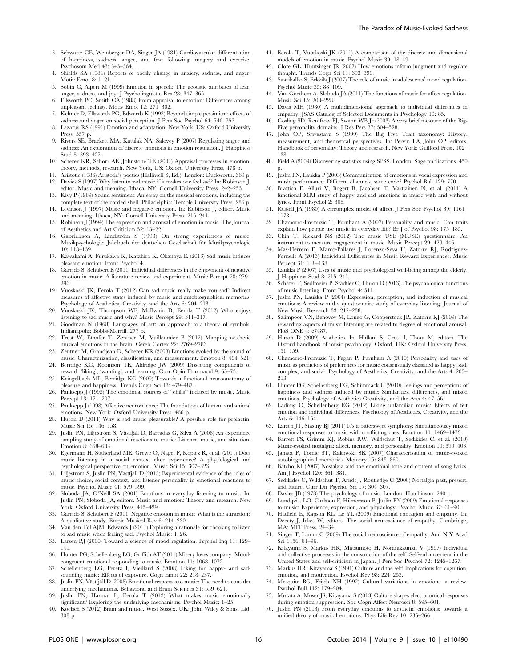- 3. Schwartz GE, Weinberger DA, Singer JA (1981) Cardiovascular differentiation of happiness, sadness, anger, and fear following imagery and exercise. Psychosom Med 43: 343–364.
- 4. Shields SA (1984) Reports of bodily change in anxiety, sadness, and anger. Motiv Emot 8: 1–21.
- 5. Sobin C, Alpert M (1999) Emotion in speech: The acoustic attributes of fear, anger, sadness, and joy. J Psycholinguistic Res 28: 347–365.
- 6. Ellsworth PC, Smith CA (1988) From appraisal to emotion: Differences among unpleasant feelings. Motiv Emot 12: 271–302.
- 7. Keltner D, Ellsworth PC, Edwards K (1993) Beyond simple pessimism: effects of sadness and anger on social perception. J Pers Soc Psychol 64: 740–752.
- 8. Lazarus RS (1991) Emotion and adaptation. New York, US: Oxford University Press. 557 p.
- 9. Rivers SE, Brackett MA, Katulak NA, Salovey P (2007) Regulating anger and sadness: An exploration of discrete emotions in emotion regulation. J Happiness Stud 8: 393–427.
- 10. Scherer KR, Schorr AE, Johnstone TE (2001) Appraisal processes in emotion: theory, methods, research. New York, US: Oxford University Press. 478 p.
- 11. Aristotle (1986) Aristotle's poetics (Halliwell S, Ed.). London: Duckworth. 369 p. 12. Davies S (1997) Why listen to sad music if it makes one feel sad? In: Robinson J,
- editor. Music and meaning. Ithaca, NY: Cornell University Press. 242–253. 13. Kivy P (1989) Sound sentiment: An essay on the musical emotions, including the
- complete text of the corded shell. Philadelphia: Temple University Press. 286 p. 14. Levinson J (1997) Music and negative emotion. In: Robinson J, editor. Music and meaning. Ithaca, NY: Cornell University Press. 215–241.
- 15. Robinson J (1994) The expression and arousal of emotion in music. The Journal of Aesthetics and Art Criticism 52: 13–22.
- 16. Gabrielsson A, Lindström S (1993) On strong experiences of music. Musikpsychologie: Jahrbuch der deutschen Gesellschaft für Musikpsychologie 10: 118–139.
- 17. Kawakami A, Furukawa K, Katahira K, Okanoya K (2013) Sad music induces pleasant emotion. Front Psychol 4.
- 18. Garrido S, Schubert E (2011) Individual differences in the enjoyment of negative emotion in music: A literature review and experiment. Music Percept 28: 279– 296.
- 19. Vuoskoski JK, Eerola T (2012) Can sad music really make you sad? Indirect measures of affective states induced by music and autobiographical memories. Psychology of Aesthetics, Creativity, and the Arts 6: 204–213.
- 20. Vuoskoski JK, Thompson WF, McIlwain D, Eerola T (2012) Who enjoys listening to sad music and why? Music Percept 29: 311–317.
- 21. Goodman N (1968) Languages of art: an approach to a theory of symbols. Indianapolis: Bobbs-Merrill. 277 p.
- 22. Trost W, Ethofer T, Zentner M, Vuilleumier P (2012) Mapping aesthetic musical emotions in the brain. Cereb Cortex 22: 2769–2783.
- 23. Zentner M, Grandjean D, Scherer KR (2008) Emotions evoked by the sound of music: Characterization, classification, and measurement. Emotion 8: 494–521.
- 24. Berridge KC, Robinson TE, Aldridge JW (2009) Dissecting components of reward: 'liking', 'wanting', and learning. Curr Opin Pharmacol 9: 65–73.
- 25. Kringelbach ML, Berridge KC (2009) Towards a functional neuroanatomy of pleasure and happiness. Trends Cogn Sci 13: 479–487.
- 26. Panksepp J (1995) The emotional sources of ''chills'' induced by music. Music Percept 13: 171–207.
- 27. Panksepp J $\left( 1998\right)$  Affective neuroscience: The foundations of human and animal emotions. New York: Oxford University Press. 466 p.
- 28. Huron D (2011) Why is sad music pleasurable? A possible role for prolactin. Music Sci 15: 146–158.
- 29. Juslin PN, Liljeström S, Västfjäll D, Barradas G, Silva A (2008) An experience sampling study of emotional reactions to music: Listener, music, and situation. Emotion 8: 668–683.
- 30. Egermann H, Sutherland ME, Grewe O, Nagel F, Kopiez R, et al. (2011) Does music listening in a social context alter experience? A physiological and psychological perspective on emotion. Music Sci 15: 307–323.
- 31. Liljeström S, Juslin PN, Västfjäll D (2013) Experimental evidence of the roles of music choice, social context, and listener personality in emotional reactions to music. Psychol Music 41: 579–599.
- 32. Sloboda JA, O'Neill SA (2001) Emotions in everyday listening to music. In: Juslin PN, Sloboda JA, editors. Music and emotion: Theory and research. New York: Oxford University Press. 415–429.
- 33. Garrido S, Schubert E (2011) Negative emotion in music: What is the attraction? A qualitative study. Empir Musicol Rev 6: 214–230.
- 34. Van den Tol AJM, Edwards J (2011) Exploring a rationale for choosing to listen to sad music when feeling sad. Psychol Music: 1–26.
- 35. Larsen RJ (2000) Toward a science of mood regulation. Psychol Inq 11: 129– 141.
- 36. Hunter PG, Schellenberg EG, Griffith AT (2011) Misery loves company: Moodcongruent emotional responding to music. Emotion 11: 1068–1072.
- 37. Schellenberg EG, Peretz I, Vieillard S (2008) Liking for happy- and sadsounding music: Effects of exposure. Cogn Emot 22: 218–237.
- 38. Juslin PN, Västfjäll D (2008) Emotional responses to music: The need to consider underlying mechanisms. Behavioral and Brain Sciences 31: 559–621.
- 39. Juslin PN, Harmat L, Eerola T (2013) What makes music emotionally significant? Exploring the underlying mechanisms. Psychol Music: 1–25.
- 40. Koelsch S (2012) Brain and music. West Sussex, UK: John Wiley & Sons, Ltd. 308 p.
- 41. Eerola T, Vuoskoski JK (2011) A comparison of the discrete and dimensional models of emotion in music. Psychol Music 39: 18–49.
- 42. Clore GL, Huntsinger JR (2007) How emotions inform judgment and regulate thought. Trends Cogn Sci 11: 393–399.
- 43. Saarikallio S, Erkkila¨ J (2007) The role of music in adolescents' mood regulation. Psychol Music 35: 88–109.
- 44. Van Goethem A, Sloboda JA (2011) The functions of music for affect regulation. Music Sci 15: 208–228.
- 45. Davis MH (1980) A multidimensional approach to individual differences in empathy. ISAS Catalog of Selected Documents in Psychology 10: 85.
- 46. Gosling SD, Rentfrow PJ, Swann WB Jr (2003) A very brief measure of the Big-Five personality domains. J Res Pers 37: 504–528.
- 47. John OP, Srivastava S (1999) The Big Five Trait taxonomy: History, measurement, and theoretical perspectives. In: Pervin LA, John OP, editors. Handbook of personality: Theory and research. New York: Guilford Press. 102– 138.
- 48. Field A (2009) Discovering statistics using SPSS. London: Sage publications. 450 p.
- 49. Juslin PN, Laukka P (2003) Communication of emotions in vocal expression and music performance: Different channels, same code? Psychol Bull 129: 770.
- 50. Brattico E, Alluri V, Bogert B, Jacobsen T, Vartiainen N, et al. (2011) A functional MRI study of happy and sad emotions in music with and without lyrics. Front Psychol 2: 308.
- 51. Russell JA (1980) A circumplex model of affect. J Pers Soc Psychol 39: 1161– 1178.
- 52. Chamorro-Premuzic T, Furnham A (2007) Personality and music: Can traits explain how people use music in everyday life? Br J of Psychol 98: 175–185.
- 53. Chin T, Rickard NS (2012) The music USE (MUSE) questionnaire: An instrument to measure engagement in music. Music Percept 29: 429–446.
- 54. Mas-Herrero E, Marco-Pallares J, Lorenzo-Seva U, Zatorre RJ, Rodriguez-Fornells A (2013) Individual Differences in Music Reward Experiences. Music Percept 31: 118–138.
- 55. Laukka P (2007) Uses of music and psychological well-being among the elderly. J Happiness Stud 8: 215–241.
- 56. Schäfer T, Sedlmeier P, Städtler C, Huron D (2013) The psychological functions of music listening. Front Psychol 4: 511.
- 57. Juslin PN, Laukka P (2004) Expression, perception, and induction of musical emotions: A review and a questionnaire study of everyday listening. Journal of New Music Research 33: 217–238.
- 58. Salimpoor VN, Benovoy M, Longo G, Cooperstock JR, Zatorre RJ (2009) The rewarding aspects of music listening are related to degree of emotional arousal. PloS ONE 4: e7487.
- 59. Huron D (2009) Aesthetics. In: Hallam S, Cross I, Thaut M, editors. The Oxford handbook of music psychology. Oxford, UK: Oxford University Press. 151–159.
- 60. Chamorro-Premuzic T, Fagan P, Furnham A (2010) Personality and uses of music as predictors of preferences for music consensually classified as happy, sad, complex, and social. Psychology of Aesthetics, Creativity, and the Arts 4: 205– 213.
- 61. Hunter PG, Schellenberg EG, Schimmack U (2010) Feelings and perceptions of happiness and sadness induced by music: Similarities, differences, and mixed emotions. Psychology of Aesthetics Creativity, and the Arts 4: 47–56.
- 62. Ladinig O, Schellenberg EG (2012) Liking unfamiliar music: Effects of felt emotion and individual differences. Psychology of Aesthetics, Creativity, and the Arts 6: 146–154.
- 63. Larsen JT, Stastny BJ (2011) It's a bittersweet symphony: Simultaneously mixed emotional responses to music with conflicting cues. Emotion 11: 1469–1473.
- 64. Barrett FS, Grimm KJ, Robins RW, Wildschut T, Sedikides C, et al. (2010) Music-evoked nostalgia: affect, memory, and personality. Emotion 10: 390–403.
- 65. Janata P, Tomic ST, Rakowski SK (2007) Characterisation of music-evoked autobiographical memories. Memory 15: 845–860.
- 66. Batcho KI (2007) Nostalgia and the emotional tone and content of song lyrics. Am J Psychol 120: 361–381.
- 67. Sedikides C, Wildschut T, Arndt J, Routledge C (2008) Nostalgia past, present, and future. Curr Dir Psychol Sci 17: 304–307.
- 68. Davies JB (1978) The psychology of music. London: Hutchinson. 240 p.
- 69. Lundqvist LO, Carlsson F, Hilmersson P, Juslin PN (2009) Emotional responses to music: Experience, expression, and physiology. Psychol Music 37: 61–90.
- 70. Hatfield E, Rapson RL, Le YL (2009) Emotional contagion and empathy. In: Decety J, Ickes W, editors. The social neuroscience of empathy. Cambridge, MA: MIT Press. 24–34.
- 71. Singer T, Lamm C (2009) The social neuroscience of empathy. Ann N Y Acad Sci 1156: 81–96.
- 72. Kitayama S, Markus HR, Matsumoto H, Norasakkunkit V (1997) Individual and collective processes in the construction of the self: Self-enhancement in the United States and self-criticism in Japan. J Pers Soc Psychol 72: 1245–1267.
- 73. Markus HR, Kitayama S (1991) Culture and the self: Implications for cognition, emotion, and motivation. Psychol Rev 98: 224–253.
- 74. Mesquita BG, Frijda NH (1992) Cultural variations in emotions: a review. Psychol Bull 112: 179–204.
- 75. Murata A, Moser JS, Kitayama S (2013) Culture shapes electrocortical responses during emotion suppression. Soc Cogn Affect Neurosci 8: 595–601.
- 76. Juslin PN (2013) From everyday emotions to aesthetic emotions: towards a unified theory of musical emotions. Phys Life Rev 10: 235–266.